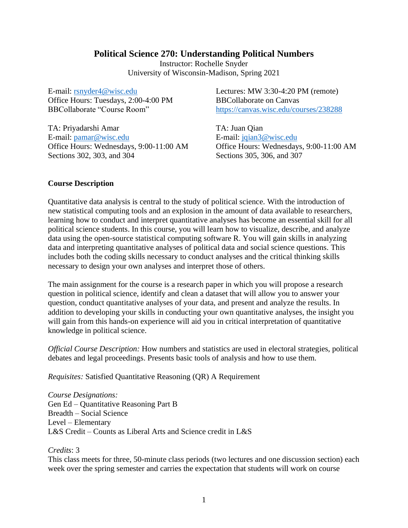# **Political Science 270: Understanding Political Numbers**

Instructor: Rochelle Snyder University of Wisconsin-Madison, Spring 2021

E-mail: [rsnyder4@wisc.edu](mailto:rsnyder4@wisc.edu) Office Hours: Tuesdays, 2:00-4:00 PM BBCollaborate "Course Room"

TA: Priyadarshi Amar E-mail: [pamar@wisc.edu](mailto:pamar@wisc.edu) Office Hours: Wednesdays, 9:00-11:00 AM Sections 302, 303, and 304

Lectures: MW 3:30-4:20 PM (remote) BBCollaborate on Canvas <https://canvas.wisc.edu/courses/238288>

TA: Juan Qian E-mail: [jqian3@wisc.edu](mailto:jqian3@wisc.edu) Office Hours: Wednesdays, 9:00-11:00 AM Sections 305, 306, and 307

### **Course Description**

Quantitative data analysis is central to the study of political science. With the introduction of new statistical computing tools and an explosion in the amount of data available to researchers, learning how to conduct and interpret quantitative analyses has become an essential skill for all political science students. In this course, you will learn how to visualize, describe, and analyze data using the open-source statistical computing software R. You will gain skills in analyzing data and interpreting quantitative analyses of political data and social science questions. This includes both the coding skills necessary to conduct analyses and the critical thinking skills necessary to design your own analyses and interpret those of others.

The main assignment for the course is a research paper in which you will propose a research question in political science, identify and clean a dataset that will allow you to answer your question, conduct quantitative analyses of your data, and present and analyze the results. In addition to developing your skills in conducting your own quantitative analyses, the insight you will gain from this hands-on experience will aid you in critical interpretation of quantitative knowledge in political science.

*Official Course Description:* How numbers and statistics are used in electoral strategies, political debates and legal proceedings. Presents basic tools of analysis and how to use them.

*Requisites:* Satisfied Quantitative Reasoning (QR) A Requirement

*Course Designations:* Gen Ed – Quantitative Reasoning Part B Breadth – Social Science Level – Elementary L&S Credit – Counts as Liberal Arts and Science credit in L&S

*Credits*: 3

This class meets for three, 50-minute class periods (two lectures and one discussion section) each week over the spring semester and carries the expectation that students will work on course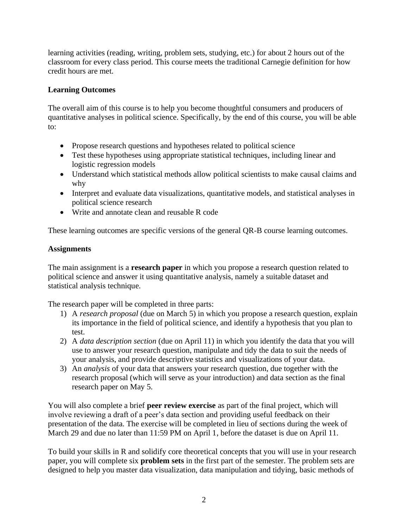learning activities (reading, writing, problem sets, studying, etc.) for about 2 hours out of the classroom for every class period. This course meets the traditional Carnegie definition for how credit hours are met.

# **Learning Outcomes**

The overall aim of this course is to help you become thoughtful consumers and producers of quantitative analyses in political science. Specifically, by the end of this course, you will be able to:

- Propose research questions and hypotheses related to political science
- Test these hypotheses using appropriate statistical techniques, including linear and logistic regression models
- Understand which statistical methods allow political scientists to make causal claims and why
- Interpret and evaluate data visualizations, quantitative models, and statistical analyses in political science research
- Write and annotate clean and reusable R code

These learning outcomes are specific versions of the general QR-B course learning outcomes.

# **Assignments**

The main assignment is a **research paper** in which you propose a research question related to political science and answer it using quantitative analysis, namely a suitable dataset and statistical analysis technique.

The research paper will be completed in three parts:

- 1) A *research proposal* (due on March 5) in which you propose a research question, explain its importance in the field of political science, and identify a hypothesis that you plan to test.
- 2) A *data description section* (due on April 11) in which you identify the data that you will use to answer your research question, manipulate and tidy the data to suit the needs of your analysis, and provide descriptive statistics and visualizations of your data.
- 3) An *analysis* of your data that answers your research question, due together with the research proposal (which will serve as your introduction) and data section as the final research paper on May 5.

You will also complete a brief **peer review exercise** as part of the final project, which will involve reviewing a draft of a peer's data section and providing useful feedback on their presentation of the data. The exercise will be completed in lieu of sections during the week of March 29 and due no later than 11:59 PM on April 1, before the dataset is due on April 11.

To build your skills in R and solidify core theoretical concepts that you will use in your research paper, you will complete six **problem sets** in the first part of the semester. The problem sets are designed to help you master data visualization, data manipulation and tidying, basic methods of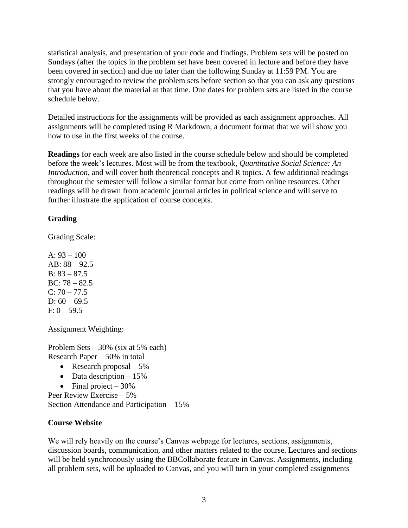statistical analysis, and presentation of your code and findings. Problem sets will be posted on Sundays (after the topics in the problem set have been covered in lecture and before they have been covered in section) and due no later than the following Sunday at 11:59 PM. You are strongly encouraged to review the problem sets before section so that you can ask any questions that you have about the material at that time. Due dates for problem sets are listed in the course schedule below.

Detailed instructions for the assignments will be provided as each assignment approaches. All assignments will be completed using R Markdown, a document format that we will show you how to use in the first weeks of the course.

**Readings** for each week are also listed in the course schedule below and should be completed before the week's lectures. Most will be from the textbook, *Quantitative Social Science: An Introduction*, and will cover both theoretical concepts and R topics. A few additional readings throughout the semester will follow a similar format but come from online resources. Other readings will be drawn from academic journal articles in political science and will serve to further illustrate the application of course concepts.

# **Grading**

Grading Scale:

A:  $93 - 100$ AB: 88 – 92.5 B:  $83 - 87.5$ BC: 78 – 82.5  $C: 70 - 77.5$ D:  $60 - 69.5$  $F: 0 - 59.5$ 

Assignment Weighting:

Problem Sets – 30% (six at 5% each) Research Paper – 50% in total

- Research proposal  $-5\%$
- Data description  $-15%$
- Final project  $-30\%$

Peer Review Exercise – 5% Section Attendance and Participation – 15%

# **Course Website**

We will rely heavily on the course's Canvas webpage for lectures, sections, assignments, discussion boards, communication, and other matters related to the course. Lectures and sections will be held synchronously using the BBCollaborate feature in Canvas. Assignments, including all problem sets, will be uploaded to Canvas, and you will turn in your completed assignments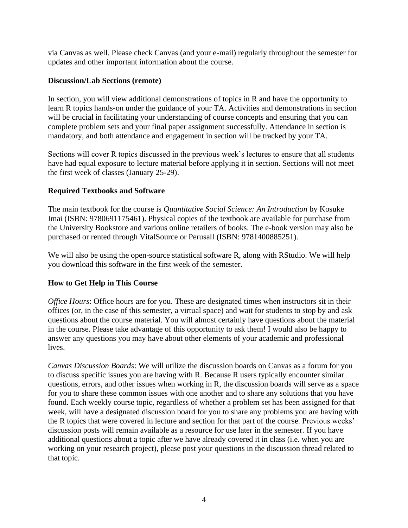via Canvas as well. Please check Canvas (and your e-mail) regularly throughout the semester for updates and other important information about the course.

### **Discussion/Lab Sections (remote)**

In section, you will view additional demonstrations of topics in R and have the opportunity to learn R topics hands-on under the guidance of your TA. Activities and demonstrations in section will be crucial in facilitating your understanding of course concepts and ensuring that you can complete problem sets and your final paper assignment successfully. Attendance in section is mandatory, and both attendance and engagement in section will be tracked by your TA.

Sections will cover R topics discussed in the previous week's lectures to ensure that all students have had equal exposure to lecture material before applying it in section. Sections will not meet the first week of classes (January 25-29).

# **Required Textbooks and Software**

The main textbook for the course is *Quantitative Social Science: An Introduction* by Kosuke Imai (ISBN: 9780691175461). Physical copies of the textbook are available for purchase from the University Bookstore and various online retailers of books. The e-book version may also be purchased or rented through VitalSource or Perusall (ISBN: 9781400885251).

We will also be using the open-source statistical software R, along with RStudio. We will help you download this software in the first week of the semester.

# **How to Get Help in This Course**

*Office Hours*: Office hours are for you. These are designated times when instructors sit in their offices (or, in the case of this semester, a virtual space) and wait for students to stop by and ask questions about the course material. You will almost certainly have questions about the material in the course. Please take advantage of this opportunity to ask them! I would also be happy to answer any questions you may have about other elements of your academic and professional lives.

*Canvas Discussion Boards*: We will utilize the discussion boards on Canvas as a forum for you to discuss specific issues you are having with R. Because R users typically encounter similar questions, errors, and other issues when working in R, the discussion boards will serve as a space for you to share these common issues with one another and to share any solutions that you have found. Each weekly course topic, regardless of whether a problem set has been assigned for that week, will have a designated discussion board for you to share any problems you are having with the R topics that were covered in lecture and section for that part of the course. Previous weeks' discussion posts will remain available as a resource for use later in the semester. If you have additional questions about a topic after we have already covered it in class (i.e. when you are working on your research project), please post your questions in the discussion thread related to that topic.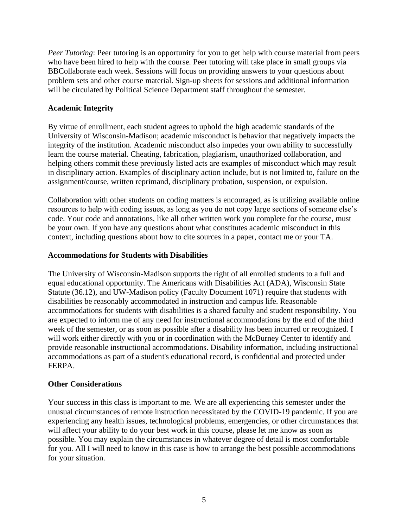*Peer Tutoring*: Peer tutoring is an opportunity for you to get help with course material from peers who have been hired to help with the course. Peer tutoring will take place in small groups via BBCollaborate each week. Sessions will focus on providing answers to your questions about problem sets and other course material. Sign-up sheets for sessions and additional information will be circulated by Political Science Department staff throughout the semester.

# **Academic Integrity**

By virtue of enrollment, each student agrees to uphold the high academic standards of the University of Wisconsin-Madison; academic misconduct is behavior that negatively impacts the integrity of the institution. Academic misconduct also impedes your own ability to successfully learn the course material. Cheating, fabrication, plagiarism, unauthorized collaboration, and helping others commit these previously listed acts are examples of misconduct which may result in disciplinary action. Examples of disciplinary action include, but is not limited to, failure on the assignment/course, written reprimand, disciplinary probation, suspension, or expulsion.

Collaboration with other students on coding matters is encouraged, as is utilizing available online resources to help with coding issues, as long as you do not copy large sections of someone else's code. Your code and annotations, like all other written work you complete for the course, must be your own. If you have any questions about what constitutes academic misconduct in this context, including questions about how to cite sources in a paper, contact me or your TA.

# **Accommodations for Students with Disabilities**

The University of Wisconsin-Madison supports the right of all enrolled students to a full and equal educational opportunity. The Americans with Disabilities Act (ADA), Wisconsin State Statute (36.12), and UW-Madison policy (Faculty Document 1071) require that students with disabilities be reasonably accommodated in instruction and campus life. Reasonable accommodations for students with disabilities is a shared faculty and student responsibility. You are expected to inform me of any need for instructional accommodations by the end of the third week of the semester, or as soon as possible after a disability has been incurred or recognized. I will work either directly with you or in coordination with the McBurney Center to identify and provide reasonable instructional accommodations. Disability information, including instructional accommodations as part of a student's educational record, is confidential and protected under FERPA.

# **Other Considerations**

Your success in this class is important to me. We are all experiencing this semester under the unusual circumstances of remote instruction necessitated by the COVID-19 pandemic. If you are experiencing any health issues, technological problems, emergencies, or other circumstances that will affect your ability to do your best work in this course, please let me know as soon as possible. You may explain the circumstances in whatever degree of detail is most comfortable for you. All I will need to know in this case is how to arrange the best possible accommodations for your situation.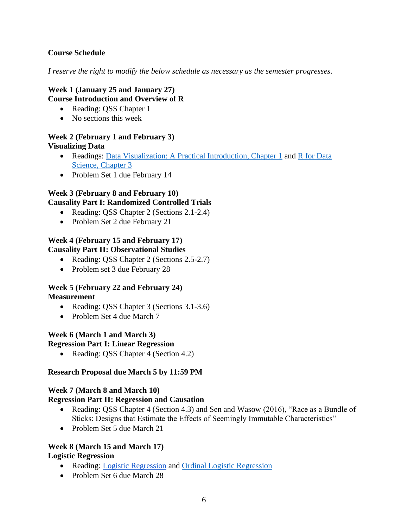# **Course Schedule**

*I reserve the right to modify the below schedule as necessary as the semester progresses.*

# **Week 1 (January 25 and January 27) Course Introduction and Overview of R**

- Reading: QSS Chapter 1
- No sections this week

# **Week 2 (February 1 and February 3) Visualizing Data**

- Readings: [Data Visualization: A Practical Introduction, Chapter 1](https://socviz.co/lookatdata.html) and R for Data [Science, Chapter 3](https://r4ds.had.co.nz/data-visualisation.html)
- Problem Set 1 due February 14

# **Week 3 (February 8 and February 10)**

# **Causality Part I: Randomized Controlled Trials**

- Reading: QSS Chapter 2 (Sections 2.1-2.4)
- Problem Set 2 due February 21

#### **Week 4 (February 15 and February 17) Causality Part II: Observational Studies**

- Reading: QSS Chapter 2 (Sections 2.5-2.7)
- Problem set 3 due February 28

#### **Week 5 (February 22 and February 24) Measurement**

- Reading: QSS Chapter 3 (Sections 3.1-3.6)
- Problem Set 4 due March 7

#### **Week 6 (March 1 and March 3) Regression Part I: Linear Regression**

• Reading: QSS Chapter 4 (Section 4.2)

# **Research Proposal due March 5 by 11:59 PM**

#### **Week 7 (March 8 and March 10)**

#### **Regression Part II: Regression and Causation**

- Reading: OSS Chapter 4 (Section 4.3) and Sen and Wasow (2016), "Race as a Bundle of Sticks: Designs that Estimate the Effects of Seemingly Immutable Characteristics"
- Problem Set 5 due March 21

# **Week 8 (March 15 and March 17)**

#### **Logistic Regression**

- Reading: [Logistic Regression](https://uc-r.github.io/logistic_regression) and [Ordinal Logistic Regression](https://stats.idre.ucla.edu/r/dae/ordinal-logistic-regression/)
- Problem Set 6 due March 28